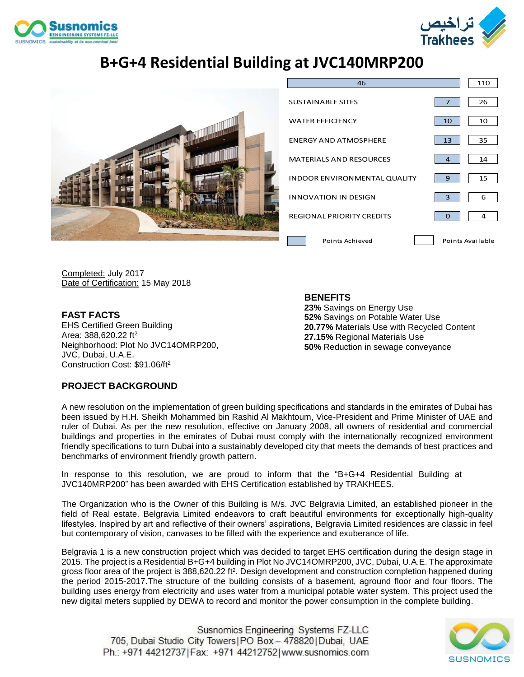



# **B+G+4 Residential Building at JVC140MRP200**



| 46                                  |                  | 110 |
|-------------------------------------|------------------|-----|
| <b>SUSTAINABLE SITES</b>            | 7                | 26  |
| <b>WATER EFFICIENCY</b>             | 10               | 10  |
| <b>ENERGY AND ATMOSPHERE</b>        | 13               | 35  |
| <b>MATERIALS AND RESOURCES</b>      | 4                | 14  |
| <b>INDOOR ENVIRONMENTAL QUALITY</b> | 9                | 15  |
| <b>INNOVATION IN DESIGN</b>         | 3                | 6   |
| <b>REGIONAL PRIORITY CREDITS</b>    | O                | 4   |
| Points Achieved                     | Points Available |     |

Completed: July 2017 Date of Certification: 15 May 2018

**FAST FACTS** EHS Certified Green Building Area: 388,620.22 ft<sup>2</sup> Neighborhood: Plot No JVC14OMRP200, JVC, Dubai, U.A.E. Construction Cost: \$91.06/ft<sup>2</sup>

### **BENEFITS**

**23%** Savings on Energy Use **52%** Savings on Potable Water Use **20.77%** Materials Use with Recycled Content **27.15%** Regional Materials Use **50%** Reduction in sewage conveyance

### **PROJECT BACKGROUND**

A new resolution on the implementation of green building specifications and standards in the emirates of Dubai has been issued by H.H. Sheikh Mohammed bin Rashid Al Makhtoum, Vice-President and Prime Minister of UAE and ruler of Dubai. As per the new resolution, effective on January 2008, all owners of residential and commercial buildings and properties in the emirates of Dubai must comply with the internationally recognized environment friendly specifications to turn Dubai into a sustainably developed city that meets the demands of best practices and benchmarks of environment friendly growth pattern.

In response to this resolution, we are proud to inform that the "B+G+4 Residential Building at JVC140MRP200" has been awarded with EHS Certification established by TRAKHEES.

The Organization who is the Owner of this Building is M/s. JVC Belgravia Limited, an established pioneer in the field of Real estate. Belgravia Limited endeavors to craft beautiful environments for exceptionally high-quality lifestyles. Inspired by art and reflective of their owners' aspirations, Belgravia Limited residences are classic in feel but contemporary of vision, canvases to be filled with the experience and exuberance of life.

Belgravia 1 is a new construction project which was decided to target EHS certification during the design stage in 2015. The project is a Residential B+G+4 building in Plot No JVC14OMRP200, JVC, Dubai, U.A.E. The approximate gross floor area of the project is 388,620.22 ft<sup>2</sup>. Design development and construction completion happened during the period 2015-2017.The structure of the building consists of a basement, aground floor and four floors. The building uses energy from electricity and uses water from a municipal potable water system. This project used the new digital meters supplied by DEWA to record and monitor the power consumption in the complete building.

Susnomics Engineering Systems FZ-LLC 705, Dubai Studio City Towers | PO Box - 478820 | Dubai, UAE Ph.: +971 44212737 | Fax: +971 44212752 | www.susnomics.com

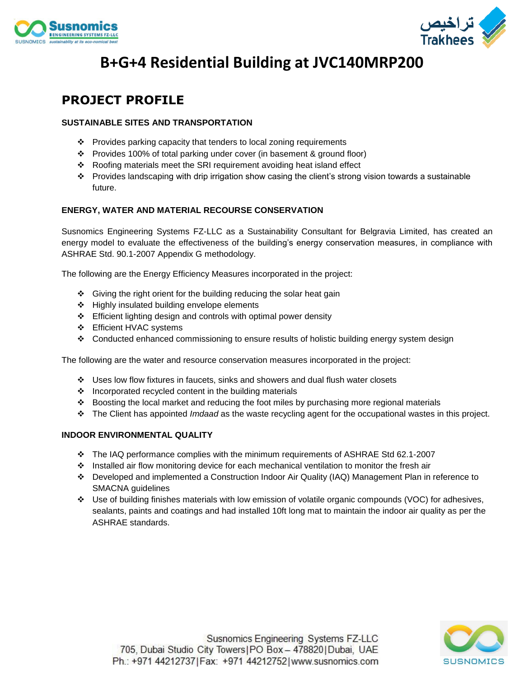



# **B+G+4 Residential Building at JVC140MRP200**

### **PROJECT PROFILE**

#### **SUSTAINABLE SITES AND TRANSPORTATION**

- ❖ Provides parking capacity that tenders to local zoning requirements
- ❖ Provides 100% of total parking under cover (in basement & ground floor)
- ❖ Roofing materials meet the SRI requirement avoiding heat island effect
- ❖ Provides landscaping with drip irrigation show casing the client's strong vision towards a sustainable future.

#### **ENERGY, WATER AND MATERIAL RECOURSE CONSERVATION**

Susnomics Engineering Systems FZ-LLC as a Sustainability Consultant for Belgravia Limited, has created an energy model to evaluate the effectiveness of the building's energy conservation measures, in compliance with ASHRAE Std. 90.1-2007 Appendix G methodology.

The following are the Energy Efficiency Measures incorporated in the project:

- ❖ Giving the right orient for the building reducing the solar heat gain
- ❖ Highly insulated building envelope elements
- ❖ Efficient lighting design and controls with optimal power density
- ❖ Efficient HVAC systems
- ❖ Conducted enhanced commissioning to ensure results of holistic building energy system design

The following are the water and resource conservation measures incorporated in the project:

- ❖ Uses low flow fixtures in faucets, sinks and showers and dual flush water closets
- ❖ Incorporated recycled content in the building materials
- ❖ Boosting the local market and reducing the foot miles by purchasing more regional materials
- ❖ The Client has appointed *Imdaad* as the waste recycling agent for the occupational wastes in this project.

#### **INDOOR ENVIRONMENTAL QUALITY**

- ❖ The IAQ performance complies with the minimum requirements of ASHRAE Std 62.1-2007
- ❖ Installed air flow monitoring device for each mechanical ventilation to monitor the fresh air
- ❖ Developed and implemented a Construction Indoor Air Quality (IAQ) Management Plan in reference to SMACNA guidelines
- ❖ Use of building finishes materials with low emission of volatile organic compounds (VOC) for adhesives, sealants, paints and coatings and had installed 10ft long mat to maintain the indoor air quality as per the ASHRAE standards.

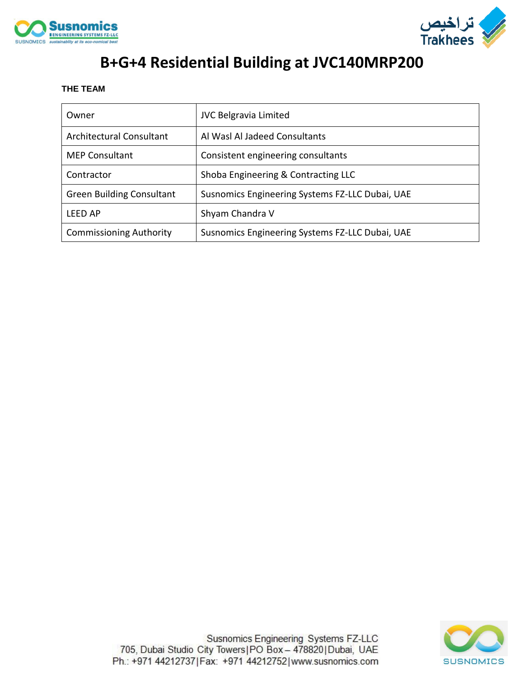



# **B+G+4 Residential Building at JVC140MRP200**

#### **THE TEAM**

| Owner                            | <b>JVC Belgravia Limited</b>                    |
|----------------------------------|-------------------------------------------------|
| Architectural Consultant         | Al Wasl Al Jadeed Consultants                   |
| <b>MEP Consultant</b>            | Consistent engineering consultants              |
| Contractor                       | Shoba Engineering & Contracting LLC             |
| <b>Green Building Consultant</b> | Susnomics Engineering Systems FZ-LLC Dubai, UAE |
| LFFD AP                          | Shyam Chandra V                                 |
| <b>Commissioning Authority</b>   | Susnomics Engineering Systems FZ-LLC Dubai, UAE |